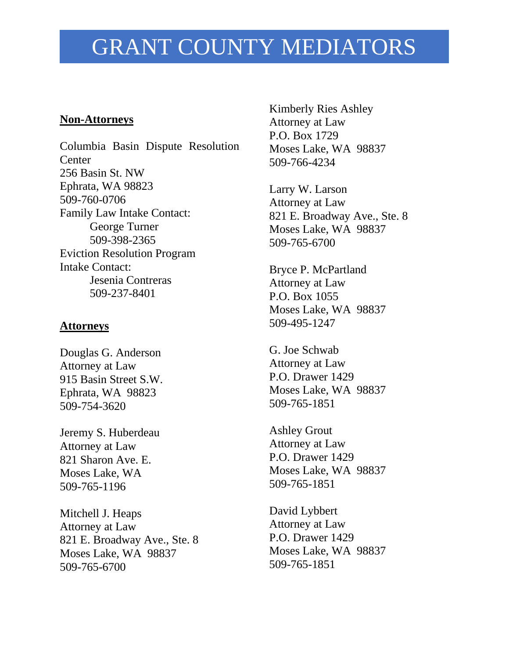## GRANT COUNTY MEDIATORS

## **Non-Attorneys**

Columbia Basin Dispute Resolution **Center** 256 Basin St. NW Ephrata, WA 98823 509-760-0706 Family Law Intake Contact: George Turner 509-398-2365 Eviction Resolution Program Intake Contact: Jesenia Contreras 509-237-8401

## **Attorneys**

Douglas G. Anderson Attorney at Law 915 Basin Street S.W. Ephrata, WA 98823 509-754-3620

Jeremy S. Huberdeau Attorney at Law 821 Sharon Ave. E. Moses Lake, WA 509-765-1196

Mitchell J. Heaps Attorney at Law 821 E. Broadway Ave., Ste. 8 Moses Lake, WA 98837 509-765-6700

Kimberly Ries Ashley Attorney at Law P.O. Box 1729 Moses Lake, WA 98837 509-766-4234

Larry W. Larson Attorney at Law 821 E. Broadway Ave., Ste. 8 Moses Lake, WA 98837 509-765-6700

Bryce P. McPartland Attorney at Law P.O. Box 1055 Moses Lake, WA 98837 509-495-1247

G. Joe Schwab Attorney at Law P.O. Drawer 1429 Moses Lake, WA 98837 509-765-1851

Ashley Grout Attorney at Law P.O. Drawer 1429 Moses Lake, WA 98837 509-765-1851

David Lybbert Attorney at Law P.O. Drawer 1429 Moses Lake, WA 98837 509-765-1851